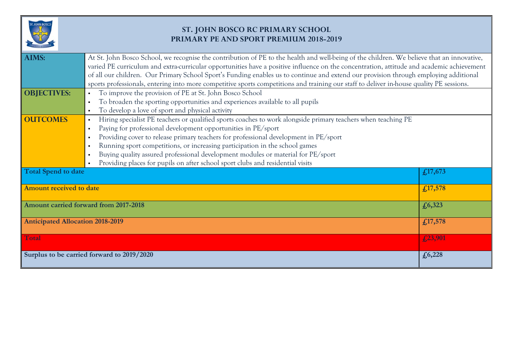

## **ST. JOHN BOSCO RC PRIMARY SCHOOL PRIMARY PE AND SPORT PREMIUM 2018-2019**

| <b>AIMS:</b>                            | At St. John Bosco School, we recognise the contribution of PE to the health and well-being of the children. We believe that an innovative, |         |  |  |  |
|-----------------------------------------|--------------------------------------------------------------------------------------------------------------------------------------------|---------|--|--|--|
|                                         | varied PE curriculum and extra-curricular opportunities have a positive influence on the concentration, attitude and academic achievement  |         |  |  |  |
|                                         | of all our children. Our Primary School Sport's Funding enables us to continue and extend our provision through employing additional       |         |  |  |  |
|                                         | sports professionals, entering into more competitive sports competitions and training our staff to deliver in-house quality PE sessions.   |         |  |  |  |
| <b>OBJECTIVES:</b>                      | To improve the provision of PE at St. John Bosco School                                                                                    |         |  |  |  |
|                                         | To broaden the sporting opportunities and experiences available to all pupils<br>$\blacksquare$                                            |         |  |  |  |
|                                         | To develop a love of sport and physical activity<br>$\blacksquare$                                                                         |         |  |  |  |
| <b>OUTCOMES</b>                         | Hiring specialist PE teachers or qualified sports coaches to work alongside primary teachers when teaching PE<br>$\blacksquare$            |         |  |  |  |
|                                         | Paying for professional development opportunities in PE/sport<br>$\blacksquare$                                                            |         |  |  |  |
|                                         | Providing cover to release primary teachers for professional development in PE/sport<br>$\blacksquare$                                     |         |  |  |  |
|                                         | Running sport competitions, or increasing participation in the school games<br>$\blacksquare$                                              |         |  |  |  |
|                                         | Buying quality assured professional development modules or material for PE/sport<br>$\blacksquare$                                         |         |  |  |  |
|                                         | Providing places for pupils on after school sport clubs and residential visits                                                             |         |  |  |  |
| <b>Total Spend to date</b>              |                                                                                                                                            | £17,673 |  |  |  |
| <b>Amount received to date</b>          |                                                                                                                                            | £17,578 |  |  |  |
|                                         | Amount carried forward from 2017-2018<br>£6,323                                                                                            |         |  |  |  |
| <b>Anticipated Allocation 2018-2019</b> |                                                                                                                                            | £17,578 |  |  |  |
| <b>Total</b>                            |                                                                                                                                            | £23,901 |  |  |  |
|                                         | Surplus to be carried forward to 2019/2020                                                                                                 | £6,228  |  |  |  |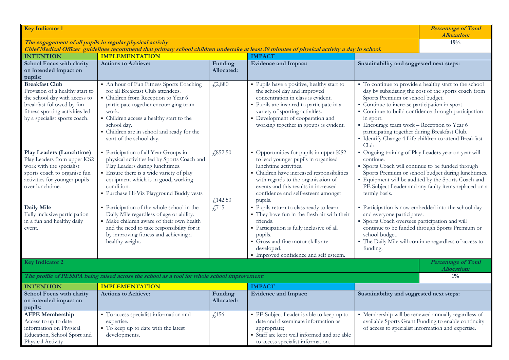| <b>Key Indicator 1</b>                                                                                                                                                                                   |                                                                                                                                                                                                                                                                                                           |                       |                                                                                                                                                                                                                                                                                       |                                                                                                                                                                                                                                                                                                              | <b>Percentage of Total</b><br><b>Allocation:</b>                                                                                                                                                                                |
|----------------------------------------------------------------------------------------------------------------------------------------------------------------------------------------------------------|-----------------------------------------------------------------------------------------------------------------------------------------------------------------------------------------------------------------------------------------------------------------------------------------------------------|-----------------------|---------------------------------------------------------------------------------------------------------------------------------------------------------------------------------------------------------------------------------------------------------------------------------------|--------------------------------------------------------------------------------------------------------------------------------------------------------------------------------------------------------------------------------------------------------------------------------------------------------------|---------------------------------------------------------------------------------------------------------------------------------------------------------------------------------------------------------------------------------|
| The engagement of all pupils in regular physical activity<br>Chief Medical Officer guidelines recommend that primary school children undertake at least 30 minutes of physical activity a day in school. |                                                                                                                                                                                                                                                                                                           |                       |                                                                                                                                                                                                                                                                                       | 19%                                                                                                                                                                                                                                                                                                          |                                                                                                                                                                                                                                 |
| <b>INTENTION</b>                                                                                                                                                                                         | <b>IMPLEMENTATION</b>                                                                                                                                                                                                                                                                                     |                       | <b>IMPACT</b>                                                                                                                                                                                                                                                                         |                                                                                                                                                                                                                                                                                                              |                                                                                                                                                                                                                                 |
| <b>School Focus with clarity</b><br>on intended impact on<br>pupils:                                                                                                                                     | <b>Actions to Achieve:</b>                                                                                                                                                                                                                                                                                | Funding<br>Allocated: | <b>Evidence and Impact:</b>                                                                                                                                                                                                                                                           | Sustainability and suggested next steps:                                                                                                                                                                                                                                                                     |                                                                                                                                                                                                                                 |
| <b>Breakfast Club</b><br>Provision of a healthy start to<br>the school day with access to<br>breakfast followed by fun<br>fitness sporting activities led<br>by a specialist sports coach.               | An hour of Fun Fitness Sports Coaching<br>for all Breakfast Club attendees.<br>• Children from Reception to Year 6<br>participate together encouraging team<br>work.<br>• Children access a healthy start to the<br>school day.<br>• Children are in school and ready for the<br>start of the school day. | £2,880                | · Pupils have a positive, healthy start to<br>the school day and improved<br>concentration in class is evident.<br>• Pupils are inspired to participate in a<br>variety of sporting activities.<br>• Development of cooperation and<br>working together in groups is evident.         | Sports Premium or school budget.<br>• Continue to increase participation in sport<br>in sport.<br>• Encourage team work - Reception to Year 6<br>participating together during Breakfast Club.<br>Club.                                                                                                      | • To continue to provide a healthy start to the school<br>day by subsidising the cost of the sports coach from<br>• Continue to build confidence through participation<br>· Identify Change 4 Life children to attend Breakfast |
| Play Leaders (Lunchtime)<br>Play Leaders from upper KS2<br>work with the specialist<br>sports coach to organise fun<br>activities for younger pupils<br>over lunchtime.                                  | • Participation of all Year Groups in<br>physical activities led by Sports Coach and<br>Play Leaders during lunchtimes.<br>• Ensure there is a wide variety of play<br>equipment which is in good, working<br>condition.<br>· Purchase Hi-Viz Playground Buddy vests                                      | £352.50<br>£,142.50   | • Opportunities for pupils in upper KS2<br>to lead younger pupils in organised<br>lunchtime activities.<br>• Children have increased responsibilities<br>with regards to the organisation of<br>events and this results in increased<br>confidence and self-esteem amongst<br>pupils. | • Ongoing training of Play Leaders year on year will<br>continue.<br>• Sports Coach will continue to be funded through<br>Sports Premium or school budget during lunchtimes.<br>· Equipment will be audited by the Sports Coach and<br>PE Subject Leader and any faulty items replaced on a<br>termly basis. |                                                                                                                                                                                                                                 |
| Daily Mile<br>Fully inclusive participation<br>in a fun and healthy daily<br>event.                                                                                                                      | • Participation of the whole school in the<br>Daily Mile regardless of age or ability.<br>· Make children aware of their own health<br>and the need to take responsibility for it<br>by improving fitness and achieving a<br>healthy weight.                                                              | £715                  | · Pupils return to class ready to learn.<br>• They have fun in the fresh air with their<br>friends.<br>• Participation is fully inclusive of all<br>pupils.<br>Gross and fine motor skills are<br>developed.<br>· Improved confidence and self esteem.                                | · Participation is now embedded into the school day<br>and everyone participates.<br>· Sports Coach oversees participation and will<br>continue to be funded through Sports Premium or<br>school budget.<br>· The Daily Mile will continue regardless of access to<br>funding.                               |                                                                                                                                                                                                                                 |
| <b>Key Indicator 2</b>                                                                                                                                                                                   |                                                                                                                                                                                                                                                                                                           |                       |                                                                                                                                                                                                                                                                                       |                                                                                                                                                                                                                                                                                                              | Percentage of Total<br><b>Allocation:</b>                                                                                                                                                                                       |
|                                                                                                                                                                                                          | The profile of PESSPA being raised across the school as a tool for whole school improvement:                                                                                                                                                                                                              |                       |                                                                                                                                                                                                                                                                                       |                                                                                                                                                                                                                                                                                                              | $1\%$                                                                                                                                                                                                                           |
| <b>INTENTION</b>                                                                                                                                                                                         | <b>IMPLEMENTATION</b>                                                                                                                                                                                                                                                                                     |                       | <b>IMPACT</b>                                                                                                                                                                                                                                                                         |                                                                                                                                                                                                                                                                                                              |                                                                                                                                                                                                                                 |
| School Focus with clarity<br>on intended impact on<br>pupils:                                                                                                                                            | <b>Actions to Achieve:</b>                                                                                                                                                                                                                                                                                | Funding<br>Allocated: | <b>Evidence and Impact:</b>                                                                                                                                                                                                                                                           | Sustainability and suggested next steps:                                                                                                                                                                                                                                                                     |                                                                                                                                                                                                                                 |
| <b>AFPE Membership</b><br>Access to up to date<br>information on Physical<br>Education, School Sport and<br>Physical Activity                                                                            | • To access specialist information and<br>expertise.<br>• To keep up to date with the latest<br>developments.                                                                                                                                                                                             | £,156                 | • PE Subject Leader is able to keep up to<br>date and disseminate information as<br>appropriate;<br>• Staff are kept well informed and are able<br>to access specialist information.                                                                                                  |                                                                                                                                                                                                                                                                                                              | • Membership will be renewed annually regardless of<br>available Sports Grant Funding to enable continuity<br>of access to specialist information and expertise.                                                                |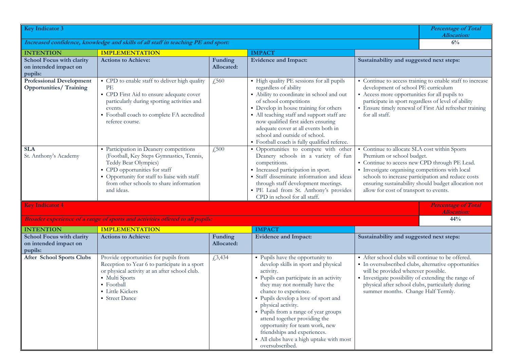| <b>Key Indicator 3</b>                                                            |                                                                                                                                                                                                                                                       |                       |                                                                                                                                                                                                                                                                                                                                                                                                                                                                     |                                                                                                                                                                                                                                                                                                 | <b>Percentage of Total</b><br><b>Allocation:</b>                                                           |
|-----------------------------------------------------------------------------------|-------------------------------------------------------------------------------------------------------------------------------------------------------------------------------------------------------------------------------------------------------|-----------------------|---------------------------------------------------------------------------------------------------------------------------------------------------------------------------------------------------------------------------------------------------------------------------------------------------------------------------------------------------------------------------------------------------------------------------------------------------------------------|-------------------------------------------------------------------------------------------------------------------------------------------------------------------------------------------------------------------------------------------------------------------------------------------------|------------------------------------------------------------------------------------------------------------|
| Increased confidence, knowledge and skills of all staff in teaching PE and sport: |                                                                                                                                                                                                                                                       |                       |                                                                                                                                                                                                                                                                                                                                                                                                                                                                     |                                                                                                                                                                                                                                                                                                 | 6%                                                                                                         |
| <b>INTENTION</b>                                                                  | <b>IMPLEMENTATION</b>                                                                                                                                                                                                                                 |                       | <b>IMPACT</b>                                                                                                                                                                                                                                                                                                                                                                                                                                                       |                                                                                                                                                                                                                                                                                                 |                                                                                                            |
| <b>School Focus with clarity</b><br>on intended impact on<br>pupils:              | <b>Actions to Achieve:</b>                                                                                                                                                                                                                            | Funding<br>Allocated: | <b>Evidence and Impact:</b>                                                                                                                                                                                                                                                                                                                                                                                                                                         | Sustainability and suggested next steps:                                                                                                                                                                                                                                                        |                                                                                                            |
| <b>Professional Development</b><br><b>Opportunities/Training</b>                  | • CPD to enable staff to deliver high quality<br>PE<br>• CPD First Aid to ensure adequate cover<br>particularly during sporting activities and<br>events.<br>• Football coach to complete FA accredited<br>referee course.                            | £,560                 | • High quality PE sessions for all pupils<br>regardless of ability<br>• Ability to coordinate in school and out<br>of school competitions<br>• Develop in house training for others<br>• All teaching staff and support staff are<br>now qualified first aiders ensuring<br>adequate cover at all events both in<br>school and outside of school.<br>· Football coach is fully qualified referee.                                                                   | • Continue to access training to enable staff to increase<br>development of school PE curriculum<br>• Access more opportunities for all pupils to<br>participate in sport regardless of level of ability<br>· Ensure timely renewal of First Aid refresher training<br>for all staff.           |                                                                                                            |
| <b>SLA</b><br>St. Anthony's Academy                                               | • Participation in Deanery competitions<br>(Football, Key Steps Gymnastics, Tennis,<br>Teddy Bear Olympics)<br>• CPD opportunities for staff<br>• Opportunity for staff to liaise with staff<br>from other schools to share information<br>and ideas. | $\sqrt{.500}$         | · Opportunities to compete with other<br>Deanery schools in a variety of fun<br>competitions.<br>· Increased participation in sport.<br>· Staff disseminate information and ideas<br>through staff development meetings.<br>· PE Lead from St. Anthony's provides<br>CPD in school for all staff.                                                                                                                                                                   | • Continue to allocate SLA cost within Sports<br>Premium or school budget.<br>• Continue to access new CPD through PE Lead.<br>• Investigate organising competitions with local<br>allow for cost of transport to events.                                                                       | schools to increase participation and reduce costs<br>ensuring sustainability should budget allocation not |
| <b>Key Indicator 4</b>                                                            |                                                                                                                                                                                                                                                       |                       |                                                                                                                                                                                                                                                                                                                                                                                                                                                                     |                                                                                                                                                                                                                                                                                                 | <b>Percentage of Total</b>                                                                                 |
|                                                                                   | Broader experience of a range of sports and activities offered to all pupils:                                                                                                                                                                         |                       |                                                                                                                                                                                                                                                                                                                                                                                                                                                                     |                                                                                                                                                                                                                                                                                                 | <b>Allocation:</b><br>44%                                                                                  |
| <b>INTENTION</b>                                                                  | <b>IMPLEMENTATION</b>                                                                                                                                                                                                                                 |                       | <b>IMPACT</b>                                                                                                                                                                                                                                                                                                                                                                                                                                                       |                                                                                                                                                                                                                                                                                                 |                                                                                                            |
| <b>School Focus with clarity</b><br>on intended impact on<br>pupils:              | <b>Actions to Achieve:</b>                                                                                                                                                                                                                            | Funding<br>Allocated: | <b>Evidence and Impact:</b>                                                                                                                                                                                                                                                                                                                                                                                                                                         | Sustainability and suggested next steps:                                                                                                                                                                                                                                                        |                                                                                                            |
| <b>After School Sports Clubs</b>                                                  | Provide opportunities for pupils from<br>Reception to Year 6 to participate in a sport<br>or physical activity at an after school club.<br>· Multi Sports<br>• Football<br><b>Little Kickers</b><br>• Street Dance                                    | £3,434                | · Pupils have the opportunity to<br>develop skills in sport and physical<br>activity.<br>· Pupils can participate in an activity<br>they may not normally have the<br>chance to experience.<br>• Pupils develop a love of sport and<br>physical activity.<br>• Pupils from a range of year groups<br>attend together providing the<br>opportunity for team work, new<br>friendships and experiences.<br>• All clubs have a high uptake with most<br>oversubscribed. | After school clubs will continue to be offered.<br>· In oversubscribed clubs, alternative opportunities<br>will be provided wherever possible.<br>· Investigate possibility of extending the range of<br>physical after school clubs, particularly during<br>summer months. Change Half Termly. |                                                                                                            |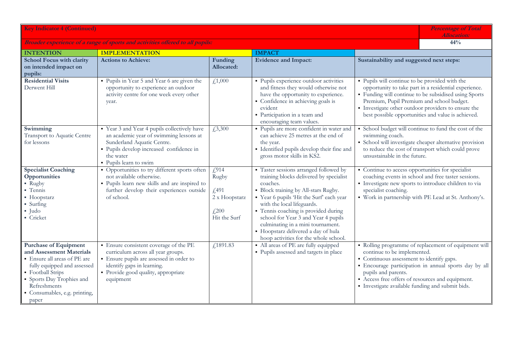| <b>Key Indicator 4 (Continued)</b>                                                                                                                                                                                                |                                                                                                                                                                                                            |                                                                             |                                                                                                                                                                                                                                                                                                                                                                                                                     | <b>Percentage of Total</b><br><b>Allocation:</b>                                                                                                                                                      |                                                                                                                                                                       |
|-----------------------------------------------------------------------------------------------------------------------------------------------------------------------------------------------------------------------------------|------------------------------------------------------------------------------------------------------------------------------------------------------------------------------------------------------------|-----------------------------------------------------------------------------|---------------------------------------------------------------------------------------------------------------------------------------------------------------------------------------------------------------------------------------------------------------------------------------------------------------------------------------------------------------------------------------------------------------------|-------------------------------------------------------------------------------------------------------------------------------------------------------------------------------------------------------|-----------------------------------------------------------------------------------------------------------------------------------------------------------------------|
| Broader experience of a range of sports and activities offered to all pupils:                                                                                                                                                     |                                                                                                                                                                                                            |                                                                             |                                                                                                                                                                                                                                                                                                                                                                                                                     |                                                                                                                                                                                                       | 44%                                                                                                                                                                   |
| <b>INTENTION</b>                                                                                                                                                                                                                  | <b>IMPLEMENTATION</b>                                                                                                                                                                                      |                                                                             | <b>IMPACT</b>                                                                                                                                                                                                                                                                                                                                                                                                       |                                                                                                                                                                                                       |                                                                                                                                                                       |
| <b>School Focus with clarity</b><br>on intended impact on<br>pupils:                                                                                                                                                              | <b>Actions to Achieve:</b>                                                                                                                                                                                 | Funding<br><b>Allocated:</b>                                                | <b>Evidence and Impact:</b>                                                                                                                                                                                                                                                                                                                                                                                         | Sustainability and suggested next steps:                                                                                                                                                              |                                                                                                                                                                       |
| <b>Residential Visits</b><br>Derwent Hill                                                                                                                                                                                         | • Pupils in Year 5 and Year 6 are given the<br>opportunity to experience an outdoor<br>activity centre for one week every other<br>year.                                                                   | f,1,000                                                                     | · Pupils experience outdoor activities<br>and fitness they would otherwise not<br>have the opportunity to experience.<br>• Confidence in achieving goals is<br>evident<br>• Participation in a team and<br>encouraging team values.                                                                                                                                                                                 | • Pupils will continue to be provided with the<br>Premium, Pupil Premium and school budget.<br>· Investigate other outdoor providers to ensure the                                                    | opportunity to take part in a residential experience.<br>• Funding will continue to be subsidised using Sports<br>best possible opportunities and value is achieved.  |
| Swimming<br>Transport to Aquatic Centre<br>for lessons                                                                                                                                                                            | • Year 3 and Year 4 pupils collectively have<br>an academic year of swimming lessons at<br>Sunderland Aquatic Centre.<br>• Pupils develop increased confidence in<br>the water<br>• Pupils learn to swim   | £3,300                                                                      | · Pupils are more confident in water and<br>can achieve 25 metres at the end of<br>the year.<br>• Identified pupils develop their fine and<br>gross motor skills in KS2.                                                                                                                                                                                                                                            | swimming coach.<br>unsustainable in the future.                                                                                                                                                       | • School budget will continue to fund the cost of the<br>• School will investigate cheaper alternative provision<br>to reduce the cost of transport which could prove |
| <b>Specialist Coaching</b><br>Opportunities<br>• Rugby<br>• Tennis<br>$\blacksquare$ Hoopstarz<br>• Surfing<br>$-$ Judo<br>• Cricket                                                                                              | • Opportunities to try different sports often<br>not available otherwise.<br>• Pupils learn new skills and are inspired to<br>further develop their experiences outside<br>of school.                      | f(914)<br>Rugby<br>f,491<br>2 x Hoopstarz<br>$f_{12}^{200}$<br>Hit the Surf | • Taster sessions arranged followed by<br>training blocks delivered by specialist<br>coaches.<br>• Block training by All-stars Rugby.<br>" Year 6 pupils 'Hit the Surf' each year<br>with the local lifeguards.<br>• Tennis coaching is provided during<br>school for Year 3 and Year 4 pupils<br>culminating in a mini tournament.<br>• Hoopstarz delivered a day of hula<br>hoop activities for the whole school. | • Continue to access opportunities for specialist<br>· Investigate new sports to introduce children to via<br>specialist coaching.                                                                    | coaching events in school and free taster sessions.<br>• Work in partnership with PE Lead at St. Anthony's.                                                           |
| <b>Purchase of Equipment</b><br>and Assessment Materials<br>• Ensure all areas of PE are<br>fully equipped and assessed<br>• Football Strips<br>• Sports Day Trophies and<br>Refreshments<br>Consumables, e.g. printing,<br>paper | · Ensure consistent coverage of the PE<br>curriculum across all year groups.<br>• Ensure pupils are assessed in order to<br>identify gaps in learning.<br>• Provide good quality, appropriate<br>equipment | f1891.83                                                                    | • All areas of PE are fully equipped<br>• Pupils assessed and targets in place                                                                                                                                                                                                                                                                                                                                      | continue to be implemented.<br>• Continuous assessment to identify gaps.<br>pupils and parents.<br>Access free offers of resources and equipment.<br>· Investigate available funding and submit bids. | • Rolling programme of replacement of equipment will<br>· Encourage participation in annual sports day by all                                                         |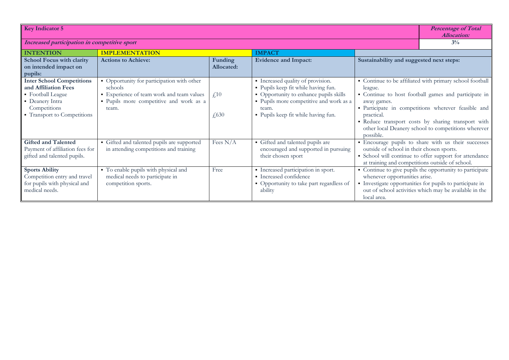| <b>Key Indicator 5</b>                                                                                                                          |                                                                                                                                                        |                           |                                                                                                                                                                                                               | <b>Percentage of Total</b><br><b>Allocation:</b>                                             |                                                                                                                                                                                                                                                                                      |
|-------------------------------------------------------------------------------------------------------------------------------------------------|--------------------------------------------------------------------------------------------------------------------------------------------------------|---------------------------|---------------------------------------------------------------------------------------------------------------------------------------------------------------------------------------------------------------|----------------------------------------------------------------------------------------------|--------------------------------------------------------------------------------------------------------------------------------------------------------------------------------------------------------------------------------------------------------------------------------------|
| Increased participation in competitive sport                                                                                                    |                                                                                                                                                        |                           |                                                                                                                                                                                                               | $3\%$                                                                                        |                                                                                                                                                                                                                                                                                      |
| <b>INTENTION</b>                                                                                                                                | <b>IMPLEMENTATION</b>                                                                                                                                  |                           | <b>IMPACT</b>                                                                                                                                                                                                 |                                                                                              |                                                                                                                                                                                                                                                                                      |
| <b>School Focus with clarity</b><br>on intended impact on<br>pupils:                                                                            | <b>Actions to Achieve:</b>                                                                                                                             | Funding<br>Allocated:     | <b>Evidence and Impact:</b>                                                                                                                                                                                   | Sustainability and suggested next steps:                                                     |                                                                                                                                                                                                                                                                                      |
| <b>Inter School Competitions</b><br>and Affiliation Fees<br>• Football League<br>• Deanery Intra<br>Competitions<br>• Transport to Competitions | • Opportunity for participation with other<br>schools<br>• Experience of team work and team values<br>· Pupils more competitive and work as a<br>team. | f <sub>10</sub><br>f(630) | • Increased quality of provision.<br>· Pupils keep fit while having fun.<br>• Opportunity to enhance pupils skills<br>• Pupils more competitive and work as a<br>team.<br>• Pupils keep fit while having fun. | league.<br>away games.<br>practical.<br>possible.                                            | • Continue to be affiliated with primary school football<br>• Continue to host football games and participate in<br>· Participate in competitions wherever feasible and<br>· Reduce transport costs by sharing transport with<br>other local Deanery school to competitions wherever |
| <b>Gifted and Talented</b><br>Payment of affiliation fees for<br>gifted and talented pupils.                                                    | • Gifted and talented pupils are supported<br>in attending competitions and training                                                                   | Fees $N/A$                | • Gifted and talented pupils are<br>encouraged and supported in pursuing<br>their chosen sport                                                                                                                | outside of school in their chosen sports.<br>at training and competitions outside of school. | · Encourage pupils to share with us their successes<br>• School will continue to offer support for attendance                                                                                                                                                                        |
| <b>Sports Ability</b><br>Competition entry and travel<br>for pupils with physical and<br>medical needs.                                         | • To enable pupils with physical and<br>medical needs to participate in<br>competition sports.                                                         | Free                      | · Increased participation in sport.<br>• Increased confidence<br>• Opportunity to take part regardless of<br>ability                                                                                          | whenever opportunities arise.<br>local area.                                                 | • Continue to give pupils the opportunity to participate<br>· Investigate opportunities for pupils to participate in<br>out of school activities which may be available in the                                                                                                       |